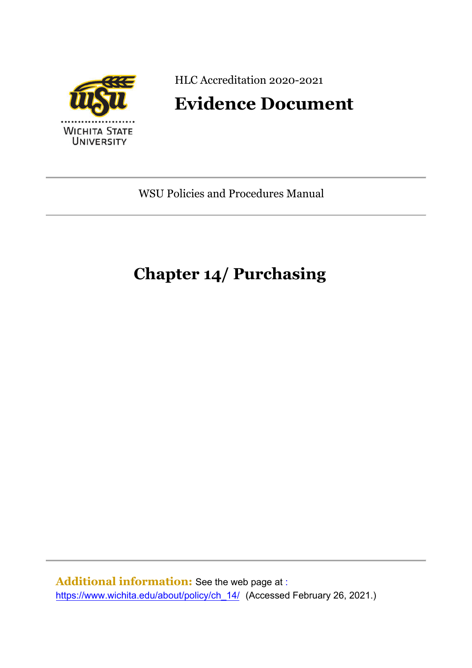

HLC Accreditation 2020-2021

# **Evidence Document**

WSU Policies and Procedures Manual

# **Chapter 14/ Purchasing**

**Additional information:** See the web page at : [https://www.wichita.edu/about/policy/ch\\_14/](https://www.wichita.edu/about/policy/ch_14/) (Accessed February 26, 2021.)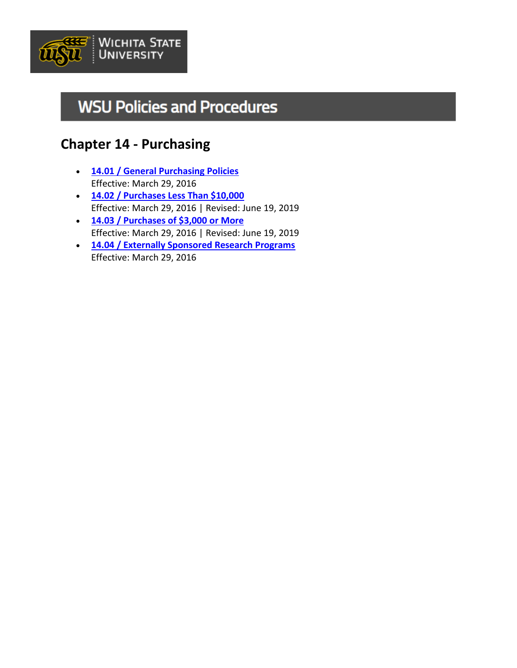

# **WSU Policies and Procedures**

# **Chapter 14 - Purchasing**

- **[14.01 / General Purchasing Policies](https://www.wichita.edu/about/policy/ch_14/ch14_01.php)** Effective: March 29, 2016
- **[14.02 / Purchases Less Than \\$10,000](https://www.wichita.edu/about/policy/ch_14/ch14_02.php)** Effective: March 29, 2016 | Revised: June 19, 2019
- **[14.03 / Purchases of \\$3,000 or More](https://www.wichita.edu/about/policy/ch_14/ch14_03.php)** Effective: March 29, 2016 | Revised: June 19, 2019
- **[14.04 / Externally Sponsored Research Programs](https://www.wichita.edu/about/policy/ch_14/ch14_04.php)** Effective: March 29, 2016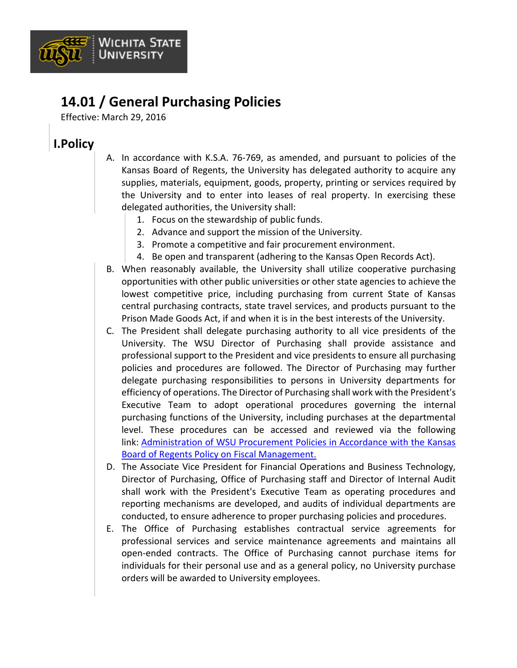

Wichita State **UNIVERSITY** 

Effective: March 29, 2016

## **I.Policy**

- A. In accordance with K.S.A. 76-769, as amended, and pursuant to policies of the Kansas Board of Regents, the University has delegated authority to acquire any supplies, materials, equipment, goods, property, printing or services required by the University and to enter into leases of real property. In exercising these delegated authorities, the University shall:
	- 1. Focus on the stewardship of public funds.
	- 2. Advance and support the mission of the University.
	- 3. Promote a competitive and fair procurement environment.
	- 4. Be open and transparent (adhering to the Kansas Open Records Act).
- B. When reasonably available, the University shall utilize cooperative purchasing opportunities with other public universities or other state agencies to achieve the lowest competitive price, including purchasing from current State of Kansas central purchasing contracts, state travel services, and products pursuant to the Prison Made Goods Act, if and when it is in the best interests of the University.
- C. The President shall delegate purchasing authority to all vice presidents of the University. The WSU Director of Purchasing shall provide assistance and professional support to the President and vice presidents to ensure all purchasing policies and procedures are followed. The Director of Purchasing may further delegate purchasing responsibilities to persons in University departments for efficiency of operations. The Director of Purchasing shall work with the President's Executive Team to adopt operational procedures governing the internal purchasing functions of the University, including purchases at the departmental level. These procedures can be accessed and reviewed via the following link: [Administration of WSU Procurement Policies in Accordance with the Kansas](https://www.wichita.edu/services/purchasing/Webpage_Origination_Documents/AdminofProcPolicies.4-6-16Rev1.pdf) [Board of Regents Policy on Fiscal Management.](https://www.wichita.edu/services/purchasing/Webpage_Origination_Documents/AdminofProcPolicies.4-6-16Rev1.pdf)
- D. The Associate Vice President for Financial Operations and Business Technology, Director of Purchasing, Office of Purchasing staff and Director of Internal Audit shall work with the President's Executive Team as operating procedures and reporting mechanisms are developed, and audits of individual departments are conducted, to ensure adherence to proper purchasing policies and procedures.
- E. The Office of Purchasing establishes contractual service agreements for professional services and service maintenance agreements and maintains all open-ended contracts. The Office of Purchasing cannot purchase items for individuals for their personal use and as a general policy, no University purchase orders will be awarded to University employees.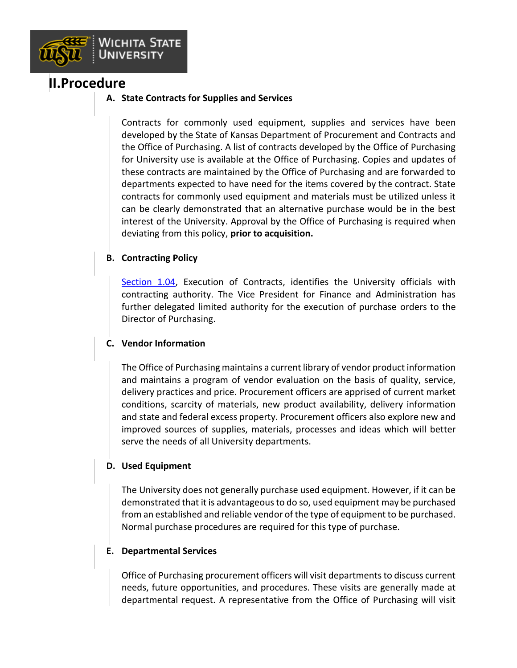

# **II.Procedure**

#### **A. State Contracts for Supplies and Services**

Contracts for commonly used equipment, supplies and services have been developed by the State of Kansas Department of Procurement and Contracts and the Office of Purchasing. A list of contracts developed by the Office of Purchasing for University use is available at the Office of Purchasing. Copies and updates of these contracts are maintained by the Office of Purchasing and are forwarded to departments expected to have need for the items covered by the contract. State contracts for commonly used equipment and materials must be utilized unless it can be clearly demonstrated that an alternative purchase would be in the best interest of the University. Approval by the Office of Purchasing is required when deviating from this policy, **prior to acquisition.**

### **B. Contracting Policy**

[Section 1.04,](https://www.wichita.edu/about/policy/ch_01/ch1_04.php) Execution of Contracts, identifies the University officials with contracting authority. The Vice President for Finance and Administration has further delegated limited authority for the execution of purchase orders to the Director of Purchasing.

### **C. Vendor Information**

The Office of Purchasing maintains a current library of vendor product information and maintains a program of vendor evaluation on the basis of quality, service, delivery practices and price. Procurement officers are apprised of current market conditions, scarcity of materials, new product availability, delivery information and state and federal excess property. Procurement officers also explore new and improved sources of supplies, materials, processes and ideas which will better serve the needs of all University departments.

### **D. Used Equipment**

The University does not generally purchase used equipment. However, if it can be demonstrated that it is advantageous to do so, used equipment may be purchased from an established and reliable vendor of the type of equipment to be purchased. Normal purchase procedures are required for this type of purchase.

### **E. Departmental Services**

Office of Purchasing procurement officers will visit departments to discuss current needs, future opportunities, and procedures. These visits are generally made at departmental request. A representative from the Office of Purchasing will visit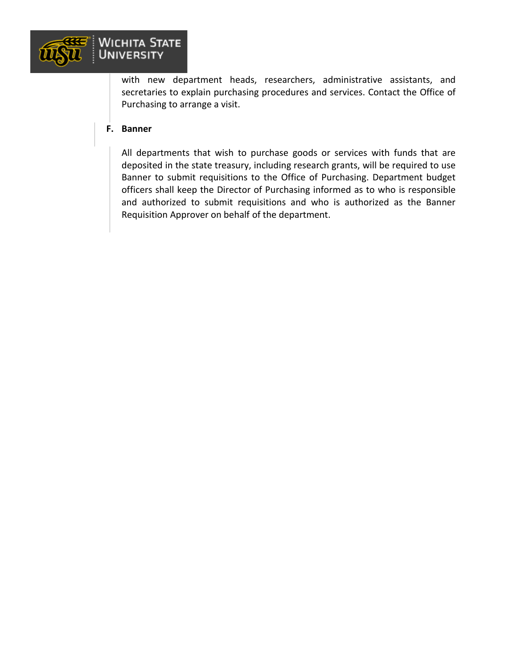

with new department heads, researchers, administrative assistants, and secretaries to explain purchasing procedures and services. Contact the Office of Purchasing to arrange a visit.

#### **F. Banner**

All departments that wish to purchase goods or services with funds that are deposited in the state treasury, including research grants, will be required to use Banner to submit requisitions to the Office of Purchasing. Department budget officers shall keep the Director of Purchasing informed as to who is responsible and authorized to submit requisitions and who is authorized as the Banner Requisition Approver on behalf of the department.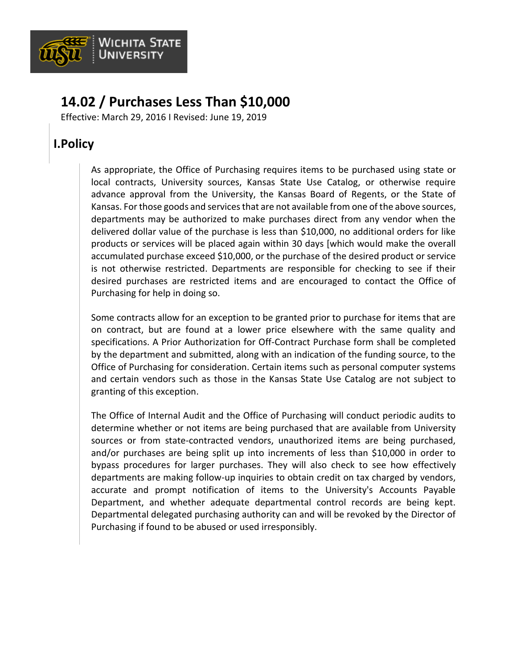

# **14.02 / Purchases Less Than \$10,000**

Effective: March 29, 2016 I Revised: June 19, 2019

# **I.Policy**

As appropriate, the Office of Purchasing requires items to be purchased using state or local contracts, University sources, Kansas State Use Catalog, or otherwise require advance approval from the University, the Kansas Board of Regents, or the State of Kansas. For those goods and services that are not available from one of the above sources, departments may be authorized to make purchases direct from any vendor when the delivered dollar value of the purchase is less than \$10,000, no additional orders for like products or services will be placed again within 30 days [which would make the overall accumulated purchase exceed \$10,000, or the purchase of the desired product or service is not otherwise restricted. Departments are responsible for checking to see if their desired purchases are restricted items and are encouraged to contact the Office of Purchasing for help in doing so.

Some contracts allow for an exception to be granted prior to purchase for items that are on contract, but are found at a lower price elsewhere with the same quality and specifications. A Prior Authorization for Off-Contract Purchase form shall be completed by the department and submitted, along with an indication of the funding source, to the Office of Purchasing for consideration. Certain items such as personal computer systems and certain vendors such as those in the Kansas State Use Catalog are not subject to granting of this exception.

The Office of Internal Audit and the Office of Purchasing will conduct periodic audits to determine whether or not items are being purchased that are available from University sources or from state-contracted vendors, unauthorized items are being purchased, and/or purchases are being split up into increments of less than \$10,000 in order to bypass procedures for larger purchases. They will also check to see how effectively departments are making follow-up inquiries to obtain credit on tax charged by vendors, accurate and prompt notification of items to the University's Accounts Payable Department, and whether adequate departmental control records are being kept. Departmental delegated purchasing authority can and will be revoked by the Director of Purchasing if found to be abused or used irresponsibly.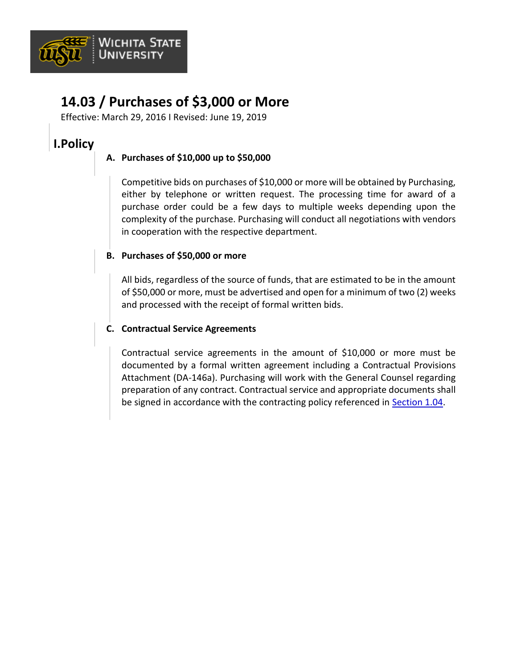

# **14.03 / Purchases of \$3,000 or More**

Effective: March 29, 2016 I Revised: June 19, 2019

## **I.Policy**

### **A. Purchases of \$10,000 up to \$50,000**

Competitive bids on purchases of \$10,000 or more will be obtained by Purchasing, either by telephone or written request. The processing time for award of a purchase order could be a few days to multiple weeks depending upon the complexity of the purchase. Purchasing will conduct all negotiations with vendors in cooperation with the respective department.

### **B. Purchases of \$50,000 or more**

All bids, regardless of the source of funds, that are estimated to be in the amount of \$50,000 or more, must be advertised and open for a minimum of two (2) weeks and processed with the receipt of formal written bids.

### **C. Contractual Service Agreements**

Contractual service agreements in the amount of \$10,000 or more must be documented by a formal written agreement including a Contractual Provisions Attachment (DA-146a). Purchasing will work with the General Counsel regarding preparation of any contract. Contractual service and appropriate documents shall be signed in accordance with the contracting policy referenced in [Section 1.04.](https://www.wichita.edu/about/policy/ch_01/ch1_04.php)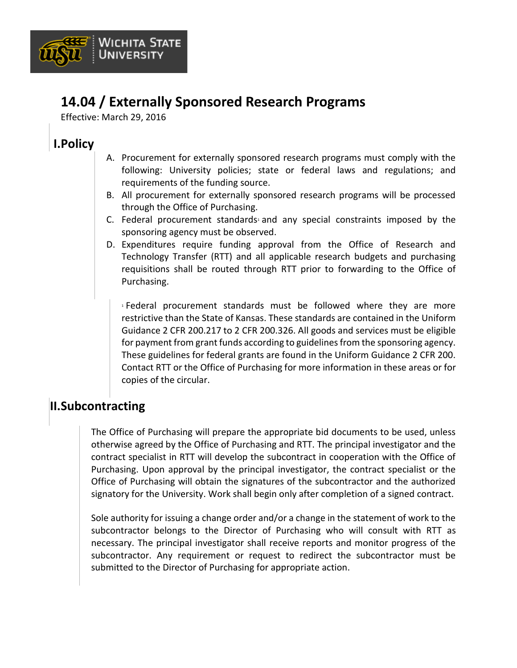

Effective: March 29, 2016

Wichita State **UNIVERSITY** 

### **I.Policy**

- A. Procurement for externally sponsored research programs must comply with the following: University policies; state or federal laws and regulations; and requirements of the funding source.
- B. All procurement for externally sponsored research programs will be processed through the Office of Purchasing.
- C. Federal procurement standards and any special constraints imposed by the sponsoring agency must be observed.
- D. Expenditures require funding approval from the Office of Research and Technology Transfer (RTT) and all applicable research budgets and purchasing requisitions shall be routed through RTT prior to forwarding to the Office of Purchasing.

<sup>1</sup> Federal procurement standards must be followed where they are more restrictive than the State of Kansas. These standards are contained in the Uniform Guidance 2 CFR 200.217 to 2 CFR 200.326. All goods and services must be eligible for payment from grant funds according to guidelines from the sponsoring agency. These guidelines for federal grants are found in the Uniform Guidance 2 CFR 200. Contact RTT or the Office of Purchasing for more information in these areas or for copies of the circular.

### **II.Subcontracting**

The Office of Purchasing will prepare the appropriate bid documents to be used, unless otherwise agreed by the Office of Purchasing and RTT. The principal investigator and the contract specialist in RTT will develop the subcontract in cooperation with the Office of Purchasing. Upon approval by the principal investigator, the contract specialist or the Office of Purchasing will obtain the signatures of the subcontractor and the authorized signatory for the University. Work shall begin only after completion of a signed contract.

Sole authority for issuing a change order and/or a change in the statement of work to the subcontractor belongs to the Director of Purchasing who will consult with RTT as necessary. The principal investigator shall receive reports and monitor progress of the subcontractor. Any requirement or request to redirect the subcontractor must be submitted to the Director of Purchasing for appropriate action.